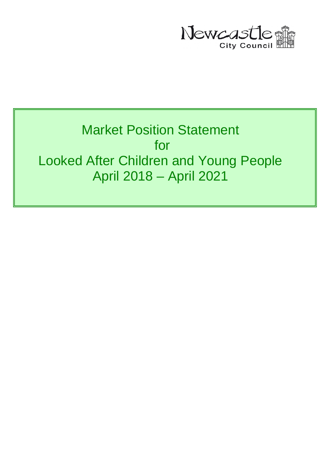

# Market Position Statement for Looked After Children and Young People April 2018 – April 2021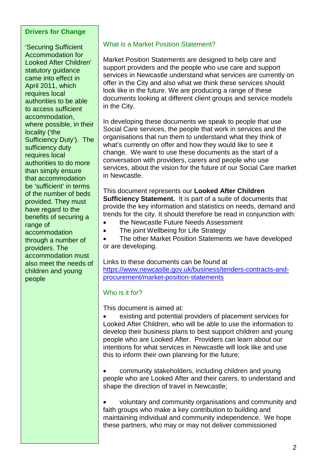#### **Drivers for Change**

'Securing Sufficient Accommodation for Looked After Children' statutory guidance came into effect in April 2011, which requires local authorities to be able to access sufficient accommodation, where possible, in their locality ('the Sufficiency Duty'). The sufficiency duty requires local authorities to do more than simply ensure that accommodation be 'sufficient' in terms of the number of beds provided. They must have regard to the benefits of securing a range of accommodation through a number of providers. The accommodation must also meet the needs of children and young people

#### What is a Market Position Statement?

Market Position Statements are designed to help care and support providers and the people who use care and support services in Newcastle understand what services are currently on offer in the City and also what we think these services should look like in the future. We are producing a range of these documents looking at different client groups and service models in the City.

In developing these documents we speak to people that use Social Care services, the people that work in services and the organisations that run them to understand what they think of what's currently on offer and how they would like to see it change. We want to use these documents as the start of a conversation with providers, carers and people who use services, about the vision for the future of our Social Care market in Newcastle.

This document represents our **Looked After Children Sufficiency Statement.** It is part of a suite of documents that provide the key information and statistics on needs, demand and trends for the city. It should therefore be read in conjunction with:

- the Newcastle Future Needs Assessment
- The joint Wellbeing for Life Strategy

The other Market Position Statements we have developed or are developing.

Links to these documents can be found at [https://www.newcastle.gov.uk/business/tenders-contracts-and](https://www.newcastle.gov.uk/business/tenders-contracts-and-procurement/market-position-statements)[procurement/market-position-statements](https://www.newcastle.gov.uk/business/tenders-contracts-and-procurement/market-position-statements)

#### Who is it for?

This document is aimed at:

• existing and potential providers of placement services for Looked After Children, who will be able to use the information to develop their business plans to best support children and young people who are Looked After. Providers can learn about our intentions for what services in Newcastle will look like and use this to inform their own planning for the future;

• community stakeholders, including children and young people who are Looked After and their carers, to understand and shape the direction of travel in Newcastle;

• voluntary and community organisations and community and faith groups who make a key contribution to building and maintaining individual and community independence. We hope these partners, who may or may not deliver commissioned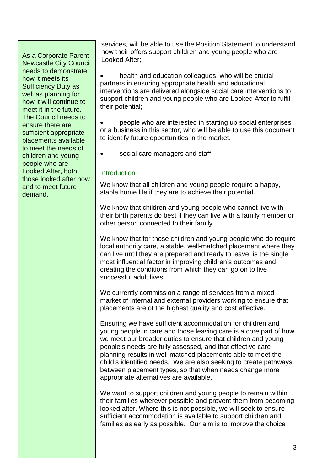As a Corporate Parent Newcastle City Council needs to demonstrate how it meets its Sufficiency Duty as well as planning for how it will continue to meet it in the future. The Council needs to ensure there are sufficient appropriate placements available to meet the needs of children and young people who are Looked After, both those looked after now and to meet future demand.

services, will be able to use the Position Statement to understand how their offers support children and young people who are Looked After;

health and education colleagues, who will be crucial partners in ensuring appropriate health and educational interventions are delivered alongside social care interventions to support children and young people who are Looked After to fulfil their potential;

• people who are interested in starting up social enterprises or a business in this sector, who will be able to use this document to identify future opportunities in the market.

• social care managers and staff

#### **Introduction**

We know that all children and young people require a happy, stable home life if they are to achieve their potential.

We know that children and young people who cannot live with their birth parents do best if they can live with a family member or other person connected to their family.

We know that for those children and young people who do require local authority care, a stable, well-matched placement where they can live until they are prepared and ready to leave, is the single most influential factor in improving children's outcomes and creating the conditions from which they can go on to live successful adult lives.

We currently commission a range of services from a mixed market of internal and external providers working to ensure that placements are of the highest quality and cost effective.

Ensuring we have sufficient accommodation for children and young people in care and those leaving care is a core part of how we meet our broader duties to ensure that children and young people's needs are fully assessed, and that effective care planning results in well matched placements able to meet the child's identified needs. We are also seeking to create pathways between placement types, so that when needs change more appropriate alternatives are available.

We want to support children and young people to remain within their families wherever possible and prevent them from becoming looked after. Where this is not possible, we will seek to ensure sufficient accommodation is available to support children and families as early as possible. Our aim is to improve the choice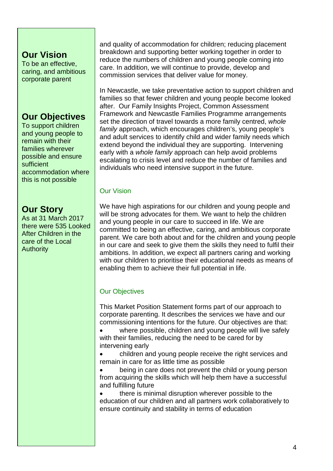# **Our Vision**

To be an effective, caring, and ambitious corporate parent

# **Our Objectives**

To support children and young people to remain with their families wherever possible and ensure sufficient accommodation where this is not possible

# **Our Story**

As at 31 March 2017 there were 535 Looked After Children in the care of the Local **Authority** 

and quality of accommodation for children; reducing placement breakdown and supporting better working together in order to reduce the numbers of children and young people coming into care. In addition, we will continue to provide, develop and commission services that deliver value for money.

In Newcastle, we take preventative action to support children and families so that fewer children and young people become looked after. Our Family Insights Project, Common Assessment Framework and Newcastle Families Programme arrangements set the direction of travel towards a more family centred, *whole family* approach, which encourages children's, young people's and adult services to identify child and wider family needs which extend beyond the individual they are supporting. Intervening early with a *whole family* approach can help avoid problems escalating to crisis level and reduce the number of families and individuals who need intensive support in the future.

#### Our Vision

We have high aspirations for our children and young people and will be strong advocates for them. We want to help the children and young people in our care to succeed in life. We are committed to being an effective, caring, and ambitious corporate parent. We care both about and for the children and young people in our care and seek to give them the skills they need to fulfil their ambitions. In addition, we expect all partners caring and working with our children to prioritise their educational needs as means of enabling them to achieve their full potential in life.

## Our Objectives

This Market Position Statement forms part of our approach to corporate parenting. It describes the services we have and our commissioning intentions for the future. Our objectives are that:

• where possible, children and young people will live safely with their families, reducing the need to be cared for by intervening early

• children and young people receive the right services and remain in care for as little time as possible

• being in care does not prevent the child or young person from acquiring the skills which will help them have a successful and fulfilling future

• there is minimal disruption wherever possible to the education of our children and all partners work collaboratively to ensure continuity and stability in terms of education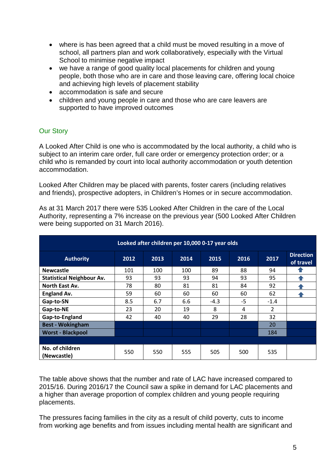- where is has been agreed that a child must be moved resulting in a move of school, all partners plan and work collaboratively, especially with the Virtual School to minimise negative impact
- we have a range of good quality local placements for children and young people, both those who are in care and those leaving care, offering local choice and achieving high levels of placement stability
- accommodation is safe and secure
- children and young people in care and those who are care leavers are supported to have improved outcomes

#### Our Story

A Looked After Child is one who is accommodated by the local authority, a child who is subject to an interim care order, full care order or emergency protection order; or a child who is remanded by court into local authority accommodation or youth detention accommodation.

Looked After Children may be placed with parents, foster carers (including relatives and friends), prospective adopters, in Children's Homes or in secure accommodation.

As at 31 March 2017 there were 535 Looked After Children in the care of the Local Authority, representing a 7% increase on the previous year (500 Looked After Children were being supported on 31 March 2016).

| Looked after children per 10,000 0-17 year olds |      |      |      |        |      |                |                               |
|-------------------------------------------------|------|------|------|--------|------|----------------|-------------------------------|
| <b>Authority</b>                                | 2012 | 2013 | 2014 | 2015   | 2016 | 2017           | <b>Direction</b><br>of travel |
| <b>Newcastle</b>                                | 101  | 100  | 100  | 89     | 88   | 94             |                               |
| <b>Statistical Neighbour Av.</b>                | 93   | 93   | 93   | 94     | 93   | 95             |                               |
| North East Av.                                  | 78   | 80   | 81   | 81     | 84   | 92             |                               |
| <b>England Av.</b>                              | 59   | 60   | 60   | 60     | 60   | 62             |                               |
| Gap-to-SN                                       | 8.5  | 6.7  | 6.6  | $-4.3$ | -5   | $-1.4$         |                               |
| Gap-to-NE                                       | 23   | 20   | 19   | 8      | 4    | $\overline{2}$ |                               |
| Gap-to-England                                  | 42   | 40   | 40   | 29     | 28   | 32             |                               |
| <b>Best - Wokingham</b>                         |      |      |      |        |      | 20             |                               |
| <b>Worst - Blackpool</b>                        |      |      |      |        |      | 184            |                               |
|                                                 |      |      |      |        |      |                |                               |
| No. of children<br>(Newcastle)                  | 550  | 550  | 555  | 505    | 500  | 535            |                               |

The table above shows that the number and rate of LAC have increased compared to 2015/16. During 2016/17 the Council saw a spike in demand for LAC placements and a higher than average proportion of complex children and young people requiring placements.

The pressures facing families in the city as a result of child poverty, cuts to income from working age benefits and from issues including mental health are significant and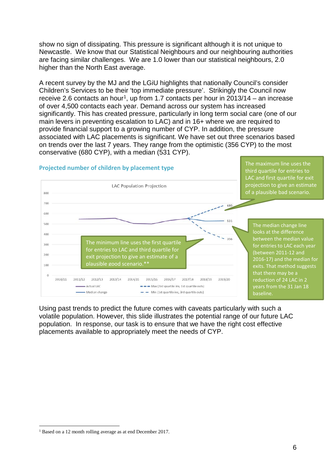show no sign of dissipating. This pressure is significant although it is not unique to Newcastle. We know that our Statistical Neighbours and our neighbouring authorities are facing similar challenges. We are 1.0 lower than our statistical neighbours, 2.0 higher than the North East average.

A recent survey by the MJ and the LGiU highlights that nationally Council's consider Children's Services to be their 'top immediate pressure'. Strikingly the Council now receive 2.6 contacts an hour<sup>1</sup>, up from 1.7 contacts per hour in 2013/14 – an increase of over 4,500 contacts each year. Demand across our system has increased significantly. This has created pressure, particularly in long term social care (one of our main levers in preventing escalation to LAC) and in 16+ where we are required to provide financial support to a growing number of CYP. In addition, the pressure associated with LAC placements is significant. We have set out three scenarios based on trends over the last 7 years. They range from the optimistic (356 CYP) to the most conservative (680 CYP), with a median (531 CYP).



Using past trends to predict the future comes with caveats particularly with such a volatile population. However, this slide illustrates the potential range of our future LAC population. In response, our task is to ensure that we have the right cost effective placements available to appropriately meet the needs of CYP.

<span id="page-5-0"></span> <sup>1</sup> Based on a 12 month rolling average as at end December 2017.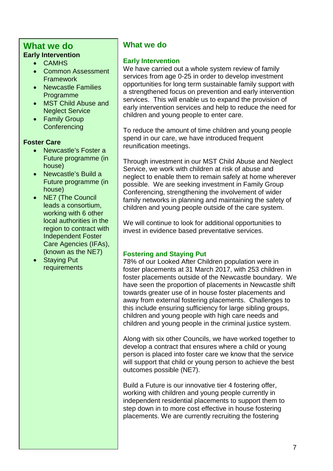## **What we do Early Intervention**

• CAMHS

• Common Assessment **Framework** 

- Newcastle Families Programme
- MST Child Abuse and Neglect Service
- Family Group **Conferencing**

#### **Foster Care**

- Newcastle's Foster a Future programme (in house)
- Newcastle's Build a Future programme (in house)
- NE7 (The Council leads a consortium, working with 6 other local authorities in the region to contract with Independent Foster Care Agencies (IFAs), (known as the NE7)
- Staying Put requirements

# **What we do**

#### **Early Intervention**

We have carried out a whole system review of family services from age 0-25 in order to develop investment opportunities for long term sustainable family support with a strengthened focus on prevention and early intervention services. This will enable us to expand the provision of early intervention services and help to reduce the need for children and young people to enter care.

To reduce the amount of time children and young people spend in our care, we have introduced frequent reunification meetings.

Through investment in our MST Child Abuse and Neglect Service, we work with children at risk of abuse and neglect to enable them to remain safely at home wherever possible. We are seeking investment in Family Group Conferencing, strengthening the involvement of wider family networks in planning and maintaining the safety of children and young people outside of the care system.

We will continue to look for additional opportunities to invest in evidence based preventative services.

#### **Fostering and Staying Put**

78% of our Looked After Children population were in foster placements at 31 March 2017, with 253 children in foster placements outside of the Newcastle boundary. We have seen the proportion of placements in Newcastle shift towards greater use of in house foster placements and away from external fostering placements. Challenges to this include ensuring sufficiency for large sibling groups, children and young people with high care needs and children and young people in the criminal justice system.

Along with six other Councils, we have worked together to develop a contract that ensures where a child or young person is placed into foster care we know that the service will support that child or young person to achieve the best outcomes possible (NE7).

Build a Future is our innovative tier 4 fostering offer, working with children and young people currently in independent residential placements to support them to step down in to more cost effective in house fostering placements. We are currently recruiting the fostering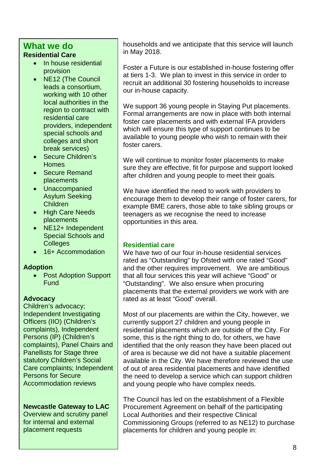## **What we do Residential Care**

- In house residential provision
- NE12 (The Council leads a consortium, working with 10 other local authorities in the region to contract with residential care providers, independent special schools and colleges and short break services)
- Secure Children's Homes
- Secure Remand placements
- Unaccompanied Asylum Seeking Children
- High Care Needs placements
- NE12+ Independent Special Schools and **Colleges**
- 16+ Accommodation

#### **Adoption**

• Post Adoption Support **Fund** 

#### **Advocacy**

Children's advocacy; Independent Investigating Officers (IIO) (Children's complaints), Independent Persons (IP) (Children's complaints), Panel Chairs and Panellists for Stage three statutory Children's Social Care complaints; Independent Persons for Secure Accommodation reviews

#### **Newcastle Gateway to LAC**

Overview and scrutiny panel for internal and external placement requests

households and we anticipate that this service will launch in May 2018.

Foster a Future is our established in-house fostering offer at tiers 1-3. We plan to invest in this service in order to recruit an additional 30 fostering households to increase our in-house capacity.

We support 36 young people in Staying Put placements. Formal arrangements are now in place with both internal foster care placements and with external IFA providers which will ensure this type of support continues to be available to young people who wish to remain with their foster carers.

We will continue to monitor foster placements to make sure they are effective, fit for purpose and support looked after children and young people to meet their goals.

We have identified the need to work with providers to encourage them to develop their range of foster carers, for example BME carers, those able to take sibling groups or teenagers as we recognise the need to increase opportunities in this area.

#### **Residential care**

We have two of our four in-house residential services rated as "Outstanding" by Ofsted with one rated "Good" and the other requires improvement. We are ambitious that all four services this year will achieve "Good" or "Outstanding". We also ensure when procuring placements that the external providers we work with are rated as at least "Good" overall.

Most of our placements are within the City, however, we currently support 27 children and young people in residential placements which are outside of the City. For some, this is the right thing to do, for others, we have identified that the only reason they have been placed out of area is because we did not have a suitable placement available in the City. We have therefore reviewed the use of out of area residential placements and have identified the need to develop a service which can support children and young people who have complex needs.

The Council has led on the establishment of a Flexible Procurement Agreement on behalf of the participating Local Authorities and their respective Clinical Commissioning Groups (referred to as NE12) to purchase placements for children and young people in: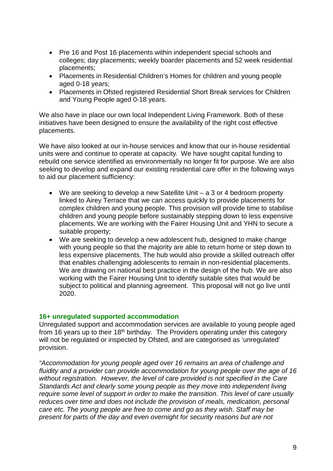- Pre 16 and Post 16 placements within independent special schools and colleges; day placements; weekly boarder placements and 52 week residential placements;
- Placements in Residential Children's Homes for children and young people aged 0-18 years;
- Placements in Ofsted registered Residential Short Break services for Children and Young People aged 0-18 years.

We also have in place our own local Independent Living Framework. Both of these initiatives have been designed to ensure the availability of the right cost effective placements.

We have also looked at our in-house services and know that our in-house residential units were and continue to operate at capacity. We have sought capital funding to rebuild one service identified as environmentally no longer fit for purpose. We are also seeking to develop and expand our existing residential care offer in the following ways to aid our placement sufficiency:

- We are seeking to develop a new Satellite Unit a 3 or 4 bedroom property linked to Airey Terrace that we can access quickly to provide placements for complex children and young people. This provision will provide time to stabilise children and young people before sustainably stepping down to less expensive placements. We are working with the Fairer Housing Unit and YHN to secure a suitable property;
- We are seeking to develop a new adolescent hub, designed to make change with young people so that the majority are able to return home or step down to less expensive placements. The hub would also provide a skilled outreach offer that enables challenging adolescents to remain in non-residential placements. We are drawing on national best practice in the design of the hub. We are also working with the Fairer Housing Unit to identify suitable sites that would be subject to political and planning agreement. This proposal will not go live until 2020.

#### **16+ unregulated supported accommodation**

Unregulated support and accommodation services are available to young people aged from 16 years up to their  $18<sup>th</sup>$  birthday. The Providers operating under this category will not be regulated or inspected by Ofsted, and are categorised as 'unregulated' provision.

*"Accommodation for young people aged over 16 remains an area of challenge and fluidity and a provider can provide accommodation for young people over the age of 16 without registration. However, the level of care provided is not specified in the Care Standards Act and clearly some young people as they move into independent living require some level of support in order to make the transition. This level of care usually reduces over time and does not include the provision of meals, medication, personal care etc. The young people are free to come and go as they wish. Staff may be present for parts of the day and even overnight for security reasons but are not*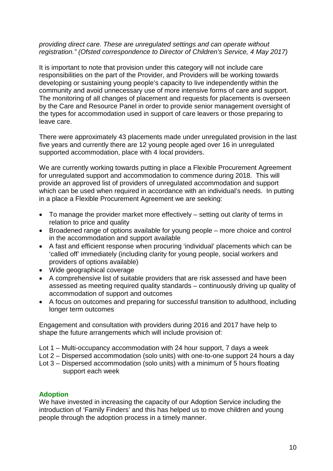#### *providing direct care. These are unregulated settings and can operate without registration." (Ofsted correspondence to Director of Children's Service, 4 May 2017)*

It is important to note that provision under this category will not include care responsibilities on the part of the Provider, and Providers will be working towards developing or sustaining young people's capacity to live independently within the community and avoid unnecessary use of more intensive forms of care and support. The monitoring of all changes of placement and requests for placements is overseen by the Care and Resource Panel in order to provide senior management oversight of the types for accommodation used in support of care leavers or those preparing to leave care.

There were approximately 43 placements made under unregulated provision in the last five years and currently there are 12 young people aged over 16 in unregulated supported accommodation, place with 4 local providers.

We are currently working towards putting in place a Flexible Procurement Agreement for unregulated support and accommodation to commence during 2018. This will provide an approved list of providers of unregulated accommodation and support which can be used when required in accordance with an individual's needs. In putting in a place a Flexible Procurement Agreement we are seeking:

- To manage the provider market more effectively setting out clarity of terms in relation to price and quality
- Broadened range of options available for young people more choice and control in the accommodation and support available
- A fast and efficient response when procuring 'individual' placements which can be 'called off' immediately (including clarity for young people, social workers and providers of options available)
- Wide geographical coverage
- A comprehensive list of suitable providers that are risk assessed and have been assessed as meeting required quality standards – continuously driving up quality of accommodation of support and outcomes
- A focus on outcomes and preparing for successful transition to adulthood, including longer term outcomes

Engagement and consultation with providers during 2016 and 2017 have help to shape the future arrangements which will include provision of:

- Lot 1 Multi-occupancy accommodation with 24 hour support, 7 days a week
- Lot 2 Dispersed accommodation (solo units) with one-to-one support 24 hours a day
- Lot 3 Dispersed accommodation (solo units) with a minimum of 5 hours floating support each week

#### **Adoption**

We have invested in increasing the capacity of our Adoption Service including the introduction of 'Family Finders' and this has helped us to move children and young people through the adoption process in a timely manner.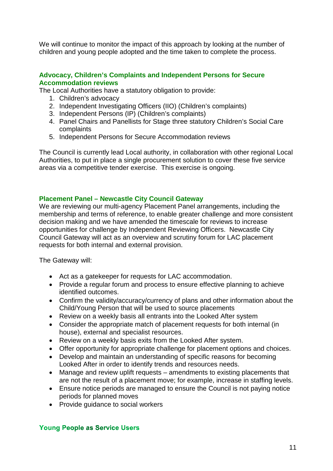We will continue to monitor the impact of this approach by looking at the number of children and young people adopted and the time taken to complete the process.

#### **Advocacy, Children's Complaints and Independent Persons for Secure Accommodation reviews**

The Local Authorities have a statutory obligation to provide:

- 1. Children's advocacy
- 2. Independent Investigating Officers (IIO) (Children's complaints)
- 3. Independent Persons (IP) (Children's complaints)
- 4. Panel Chairs and Panellists for Stage three statutory Children's Social Care complaints
- 5. Independent Persons for Secure Accommodation reviews

The Council is currently lead Local authority, in collaboration with other regional Local Authorities, to put in place a single procurement solution to cover these five service areas via a competitive tender exercise. This exercise is ongoing.

#### **Placement Panel – Newcastle City Council Gateway**

We are reviewing our multi-agency Placement Panel arrangements, including the membership and terms of reference, to enable greater challenge and more consistent decision making and we have amended the timescale for reviews to increase opportunities for challenge by Independent Reviewing Officers. Newcastle City Council Gateway will act as an overview and scrutiny forum for LAC placement requests for both internal and external provision.

The Gateway will:

- Act as a gatekeeper for requests for LAC accommodation.
- Provide a regular forum and process to ensure effective planning to achieve identified outcomes.
- Confirm the validity/accuracy/currency of plans and other information about the Child/Young Person that will be used to source placements
- Review on a weekly basis all entrants into the Looked After system
- Consider the appropriate match of placement requests for both internal (in house), external and specialist resources.
- Review on a weekly basis exits from the Looked After system.
- Offer opportunity for appropriate challenge for placement options and choices.
- Develop and maintain an understanding of specific reasons for becoming Looked After in order to identify trends and resources needs.
- Manage and review uplift requests amendments to existing placements that are not the result of a placement move; for example, increase in staffing levels.
- Ensure notice periods are managed to ensure the Council is not paying notice periods for planned moves
- Provide quidance to social workers

#### **Young People as Service Users**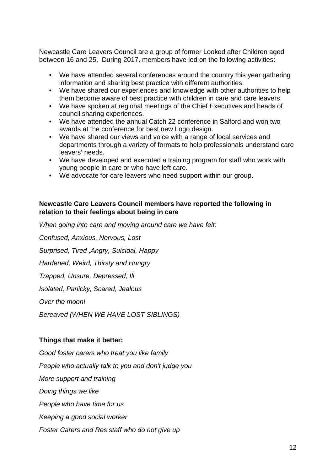Newcastle Care Leavers Council are a group of former Looked after Children aged between 16 and 25. During 2017, members have led on the following activities:

- We have attended several conferences around the country this year gathering information and sharing best practice with different authorities.
- We have shared our experiences and knowledge with other authorities to help them become aware of best practice with children in care and care leavers.
- We have spoken at regional meetings of the Chief Executives and heads of council sharing experiences.
- We have attended the annual Catch 22 conference in Salford and won two awards at the conference for best new Logo design.
- We have shared our views and voice with a range of local services and departments through a variety of formats to help professionals understand care leavers' needs.
- We have developed and executed a training program for staff who work with young people in care or who have left care.
- We advocate for care leavers who need support within our group.

#### **Newcastle Care Leavers Council members have reported the following in relation to their feelings about being in care**

*When going into care and moving around care we have felt: Confused, Anxious, Nervous, Lost Surprised, Tired ,Angry, Suicidal, Happy Hardened, Weird, Thirsty and Hungry Trapped, Unsure, Depressed, Ill Isolated, Panicky, Scared, Jealous Over the moon! Bereaved (WHEN WE HAVE LOST SIBLINGS)*

#### **Things that make it better:**

*Good foster carers who treat you like family People who actually talk to you and don't judge you More support and training Doing things we like People who have time for us Keeping a good social worker Foster Carers and Res staff who do not give up*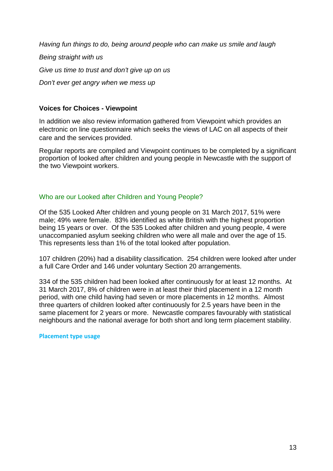*Having fun things to do, being around people who can make us smile and laugh*

*Being straight with us Give us time to trust and don't give up on us Don't ever get angry when we mess up*

#### **Voices for Choices - Viewpoint**

In addition we also review information gathered from Viewpoint which provides an electronic on line questionnaire which seeks the views of LAC on all aspects of their care and the services provided.

Regular reports are compiled and Viewpoint continues to be completed by a significant proportion of looked after children and young people in Newcastle with the support of the two Viewpoint workers.

#### Who are our Looked after Children and Young People?

Of the 535 Looked After children and young people on 31 March 2017, 51% were male; 49% were female. 83% identified as white British with the highest proportion being 15 years or over. Of the 535 Looked after children and young people, 4 were unaccompanied asylum seeking children who were all male and over the age of 15. This represents less than 1% of the total looked after population.

107 children (20%) had a disability classification. 254 children were looked after under a full Care Order and 146 under voluntary Section 20 arrangements.

334 of the 535 children had been looked after continuously for at least 12 months. At 31 March 2017, 8% of children were in at least their third placement in a 12 month period, with one child having had seven or more placements in 12 months. Almost three quarters of children looked after continuously for 2.5 years have been in the same placement for 2 years or more. Newcastle compares favourably with statistical neighbours and the national average for both short and long term placement stability.

**Placement type usage**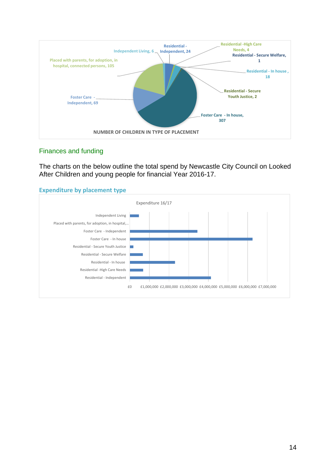

#### Finances and funding

The charts on the below outline the total spend by Newcastle City Council on Looked After Children and young people for financial Year 2016-17.

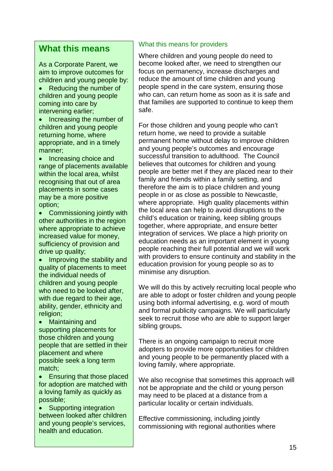## **What this means**

As a Corporate Parent, we aim to improve outcomes for children and young people by:

- Reducing the number of children and young people coming into care by intervening earlier;
- Increasing the number of children and young people returning home, where appropriate, and in a timely manner;
- Increasing choice and range of placements available within the local area, whilst recognising that out of area placements in some cases may be a more positive option;
- Commissioning jointly with other authorities in the region where appropriate to achieve increased value for money, sufficiency of provision and drive up quality;
- Improving the stability and quality of placements to meet the individual needs of children and young people who need to be looked after, with due regard to their age, ability, gender, ethnicity and religion;
- Maintaining and supporting placements for those children and young people that are settled in their placement and where possible seek a long term match;
- Ensuring that those placed for adoption are matched with a loving family as quickly as possible;
- Supporting integration between looked after children and young people's services, health and education.

#### What this means for providers

Where children and young people do need to become looked after, we need to strengthen our focus on permanency, increase discharges and reduce the amount of time children and young people spend in the care system, ensuring those who can, can return home as soon as it is safe and that families are supported to continue to keep them safe.

For those children and young people who can't return home, we need to provide a suitable permanent home without delay to improve children and young people's outcomes and encourage successful transition to adulthood. The Council believes that outcomes for children and young people are better met if they are placed near to their family and friends within a family setting, and therefore the aim is to place children and young people in or as close as possible to Newcastle, where appropriate. High quality placements within the local area can help to avoid disruptions to the child's education or training, keep sibling groups together, where appropriate, and ensure better integration of services. We place a high priority on education needs as an important element in young people reaching their full potential and we will work with providers to ensure continuity and stability in the education provision for young people so as to minimise any disruption.

We will do this by actively recruiting local people who are able to adopt or foster children and young people using both informal advertising, e.g. word of mouth and formal publicity campaigns. We will particularly seek to recruit those who are able to support larger sibling groups**.**

There is an ongoing campaign to recruit more adopters to provide more opportunities for children and young people to be permanently placed with a loving family, where appropriate.

We also recognise that sometimes this approach will not be appropriate and the child or young person may need to be placed at a distance from a particular locality or certain individuals.

Effective commissioning, including jointly commissioning with regional authorities where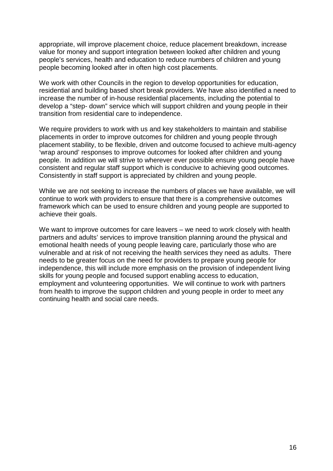appropriate, will improve placement choice, reduce placement breakdown, increase value for money and support integration between looked after children and young people's services, health and education to reduce numbers of children and young people becoming looked after in often high cost placements.

We work with other Councils in the region to develop opportunities for education, residential and building based short break providers. We have also identified a need to increase the number of in-house residential placements, including the potential to develop a "step- down" service which will support children and young people in their transition from residential care to independence.

We require providers to work with us and key stakeholders to maintain and stabilise placements in order to improve outcomes for children and young people through placement stability, to be flexible, driven and outcome focused to achieve multi-agency 'wrap around' responses to improve outcomes for looked after children and young people. In addition we will strive to wherever ever possible ensure young people have consistent and regular staff support which is conducive to achieving good outcomes. Consistently in staff support is appreciated by children and young people.

While we are not seeking to increase the numbers of places we have available, we will continue to work with providers to ensure that there is a comprehensive outcomes framework which can be used to ensure children and young people are supported to achieve their goals.

We want to improve outcomes for care leavers – we need to work closely with health partners and adults' services to improve transition planning around the physical and emotional health needs of young people leaving care, particularly those who are vulnerable and at risk of not receiving the health services they need as adults. There needs to be greater focus on the need for providers to prepare young people for independence, this will include more emphasis on the provision of independent living skills for young people and focused support enabling access to education, employment and volunteering opportunities. We will continue to work with partners from health to improve the support children and young people in order to meet any continuing health and social care needs.